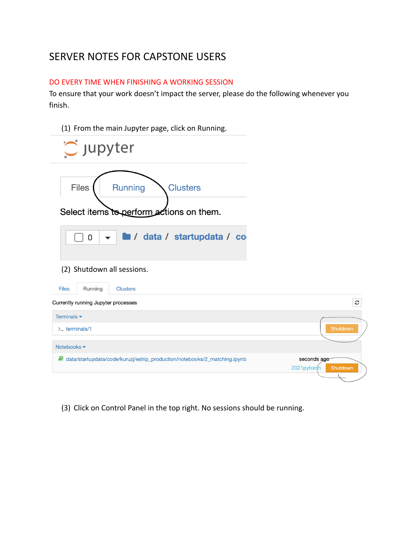# SERVER NOTES FOR CAPSTONE USERS

### DO EVERY TIME WHEN FINISHING A WORKING SESSION

To ensure that your work doesn't impact the server, please do the following whenever you finish.

| (1) From the main Jupyter page, click on Running.                                             |                                        |
|-----------------------------------------------------------------------------------------------|----------------------------------------|
| $\bigcirc$ jupyter                                                                            |                                        |
| <b>Files</b><br><b>Running</b><br><b>Clusters</b><br>Select items to perform actions on them. |                                        |
| / data / startupdata / co<br>$\overline{0}$<br>(2) Shutdown all sessions.                     |                                        |
| <b>Files</b><br>Running<br><b>Clusters</b>                                                    |                                        |
| Currently running Jupyter processes                                                           | c                                      |
| Terminals $\blacktriangleright$                                                               |                                        |
| $\Sigma$ terminals/1                                                                          | Shutdown                               |
| Notebooks $\blacktriangledown$                                                                |                                        |
| data/startupdata/code/kuruzj/eship_production/notebooks/2_matching.ipynb                      | seconds ago<br>2021pytorch<br>Shutdown |

(3) Click on Control Panel in the top right. No sessions should be running.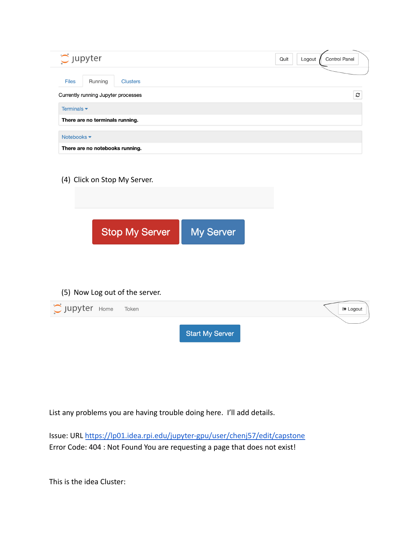| $\tilde{C}$ Jupyter                                                       | Quit<br>Logout | <b>Control Panel</b> |
|---------------------------------------------------------------------------|----------------|----------------------|
| <b>Files</b><br>Running<br><b>Clusters</b>                                |                |                      |
| Currently running Jupyter processes                                       |                | C                    |
| Terminals $\blacktriangleright$                                           |                |                      |
| There are no terminals running.                                           |                |                      |
| Notebooks <del>▼</del>                                                    |                |                      |
| There are no notebooks running.                                           |                |                      |
| (4) Click on Stop My Server.<br><b>Stop My Server</b><br><b>My Server</b> |                |                      |
| (5) Now Log out of the server.                                            |                |                      |
| Upyter Home<br>Token                                                      |                | <b>■ Logout</b>      |

**Start My Server** 

List any problems you are having trouble doing here. I'll add details.

Issue: URL <https://lp01.idea.rpi.edu/jupyter-gpu/user/chenj57/edit/capstone> Error Code: 404 : Not Found You are requesting a page that does not exist!

This is the idea Cluster: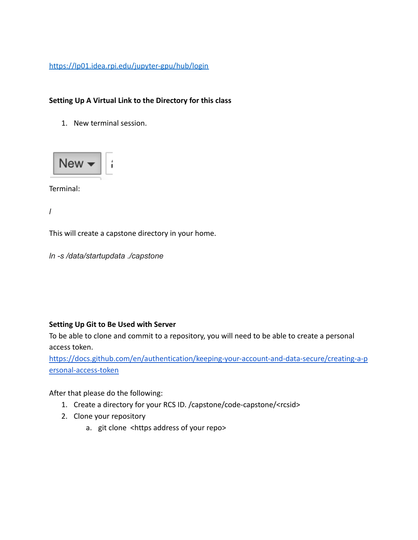<https://lp01.idea.rpi.edu/jupyter-gpu/hub/login>

# **Setting Up A Virtual Link to the Directory for this class**

1. New terminal session.



Terminal:

*l*

This will create a capstone directory in your home.

*ln -s /data/startupdata ./capstone*

# **Setting Up Git to Be Used with Server**

To be able to clone and commit to a repository, you will need to be able to create a personal access token.

[https://docs.github.com/en/authentication/keeping-your-account-and-data-secure/creating-a-p](https://docs.github.com/en/authentication/keeping-your-account-and-data-secure/creating-a-personal-access-token) [ersonal-access-token](https://docs.github.com/en/authentication/keeping-your-account-and-data-secure/creating-a-personal-access-token)

After that please do the following:

- 1. Create a directory for your RCS ID. /capstone/code-capstone/<rcsid>
- 2. Clone your repository
	- a. git clone <https address of your repo>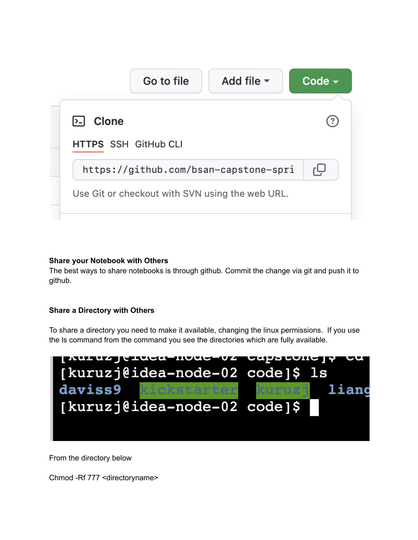|                             | Go to file | Add file $\blacktriangledown$                   | Code $\sim$ |
|-----------------------------|------------|-------------------------------------------------|-------------|
| <b>Clone</b><br> >_         |            |                                                 |             |
| <b>HTTPS SSH GitHub CLI</b> |            |                                                 |             |
|                             |            | https://github.com/bsan-capstone-spri           | ٻ           |
|                             |            | Use Git or checkout with SVN using the web URL. |             |

### **Share your Notebook with Others**

The best ways to share notebooks is through github. Commit the change via git and push it to github.

# **Share a Directory with Others**

To share a directory you need to make it available, changing the linux permissions. If you use the ls command from the command you see the directories which are fully available.



From the directory below

Chmod -Rf 777 <directoryname>